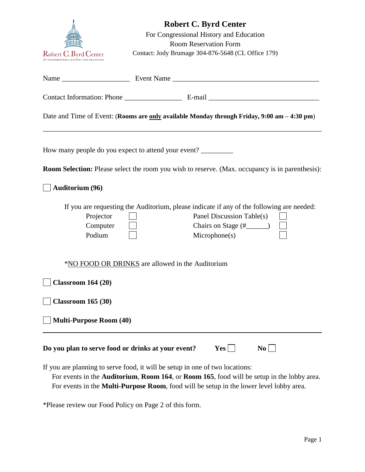

|                                                    | Date and Time of Event: (Rooms are only available Monday through Friday, 9:00 am - 4:30 pm)                                             |
|----------------------------------------------------|-----------------------------------------------------------------------------------------------------------------------------------------|
|                                                    | How many people do you expect to attend your event?                                                                                     |
|                                                    | <b>Room Selection:</b> Please select the room you wish to reserve. (Max. occupancy is in parenthesis):                                  |
| <b>Auditorium (96)</b>                             |                                                                                                                                         |
| Projector<br>Computer<br>Podium                    | If you are requesting the Auditorium, please indicate if any of the following are needed:<br>Panel Discussion Table(s)<br>Microphone(s) |
|                                                    | *NO FOOD OR DRINKS are allowed in the Auditorium                                                                                        |
| <b>Classroom 164 (20)</b>                          |                                                                                                                                         |
| <b>Classroom 165 (30)</b>                          |                                                                                                                                         |
| <b>Multi-Purpose Room (40)</b>                     |                                                                                                                                         |
| Do you plan to serve food or drinks at your event? | $Yes$  <br>$\bf{No}$                                                                                                                    |
|                                                    | If you are planning to serve food, it will be setup in one of two locations:                                                            |

 For events in the **Auditorium**, **Room 164**, or **Room 165**, food will be setup in the lobby area. For events in the **Multi-Purpose Room**, food will be setup in the lower level lobby area.

\*Please review our Food Policy on Page 2 of this form.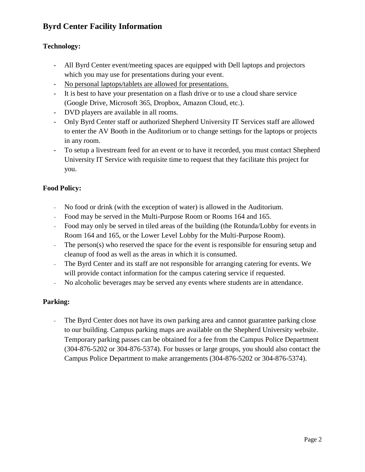# **Byrd Center Facility Information**

## **Technology:**

- All Byrd Center event/meeting spaces are equipped with Dell laptops and projectors which you may use for presentations during your event.
- No personal laptops/tablets are allowed for presentations.
- It is best to have your presentation on a flash drive or to use a cloud share service (Google Drive, Microsoft 365, Dropbox, Amazon Cloud, etc.).
- DVD players are available in all rooms.
- Only Byrd Center staff or authorized Shepherd University IT Services staff are allowed to enter the AV Booth in the Auditorium or to change settings for the laptops or projects in any room.
- To setup a livestream feed for an event or to have it recorded, you must contact Shepherd University IT Service with requisite time to request that they facilitate this project for you.

## **Food Policy:**

- No food or drink (with the exception of water) is allowed in the Auditorium.
- Food may be served in the Multi-Purpose Room or Rooms 164 and 165.
- Food may only be served in tiled areas of the building (the Rotunda/Lobby for events in Room 164 and 165, or the Lower Level Lobby for the Multi-Purpose Room).
- The person(s) who reserved the space for the event is responsible for ensuring setup and cleanup of food as well as the areas in which it is consumed.
- The Byrd Center and its staff are not responsible for arranging catering for events. We will provide contact information for the campus catering service if requested.
- No alcoholic beverages may be served any events where students are in attendance.

## **Parking:**

The Byrd Center does not have its own parking area and cannot guarantee parking close to our building. Campus parking maps are available on the Shepherd University website. Temporary parking passes can be obtained for a fee from the Campus Police Department (304-876-5202 or 304-876-5374). For busses or large groups, you should also contact the Campus Police Department to make arrangements (304-876-5202 or 304-876-5374).